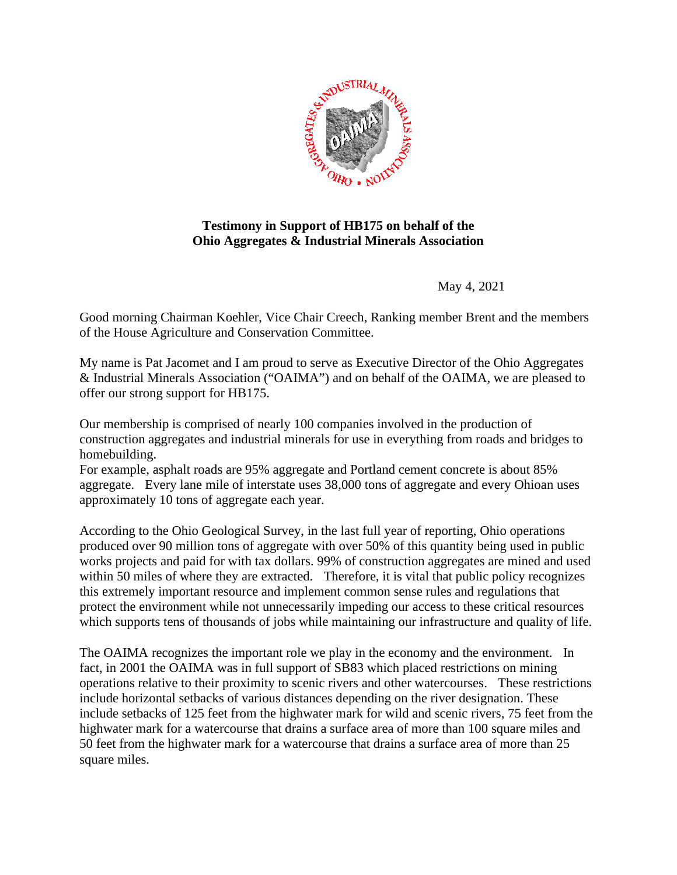

## **Testimony in Support of HB175 on behalf of the Ohio Aggregates & Industrial Minerals Association**

May 4, 2021

Good morning Chairman Koehler, Vice Chair Creech, Ranking member Brent and the members of the House Agriculture and Conservation Committee.

My name is Pat Jacomet and I am proud to serve as Executive Director of the Ohio Aggregates & Industrial Minerals Association ("OAIMA") and on behalf of the OAIMA, we are pleased to offer our strong support for HB175.

Our membership is comprised of nearly 100 companies involved in the production of construction aggregates and industrial minerals for use in everything from roads and bridges to homebuilding.

For example, asphalt roads are 95% aggregate and Portland cement concrete is about 85% aggregate. Every lane mile of interstate uses 38,000 tons of aggregate and every Ohioan uses approximately 10 tons of aggregate each year.

According to the Ohio Geological Survey, in the last full year of reporting, Ohio operations produced over 90 million tons of aggregate with over 50% of this quantity being used in public works projects and paid for with tax dollars. 99% of construction aggregates are mined and used within 50 miles of where they are extracted. Therefore, it is vital that public policy recognizes this extremely important resource and implement common sense rules and regulations that protect the environment while not unnecessarily impeding our access to these critical resources which supports tens of thousands of jobs while maintaining our infrastructure and quality of life.

The OAIMA recognizes the important role we play in the economy and the environment. In fact, in 2001 the OAIMA was in full support of SB83 which placed restrictions on mining operations relative to their proximity to scenic rivers and other watercourses. These restrictions include horizontal setbacks of various distances depending on the river designation. These include setbacks of 125 feet from the highwater mark for wild and scenic rivers, 75 feet from the highwater mark for a watercourse that drains a surface area of more than 100 square miles and 50 feet from the highwater mark for a watercourse that drains a surface area of more than 25 square miles.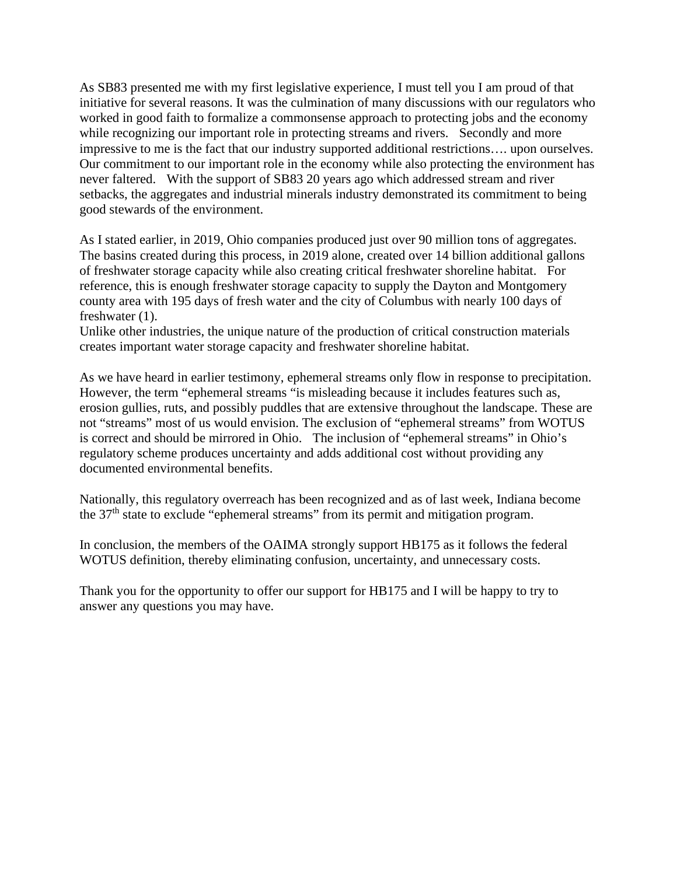As SB83 presented me with my first legislative experience, I must tell you I am proud of that initiative for several reasons. It was the culmination of many discussions with our regulators who worked in good faith to formalize a commonsense approach to protecting jobs and the economy while recognizing our important role in protecting streams and rivers. Secondly and more impressive to me is the fact that our industry supported additional restrictions…. upon ourselves. Our commitment to our important role in the economy while also protecting the environment has never faltered. With the support of SB83 20 years ago which addressed stream and river setbacks, the aggregates and industrial minerals industry demonstrated its commitment to being good stewards of the environment.

As I stated earlier, in 2019, Ohio companies produced just over 90 million tons of aggregates. The basins created during this process, in 2019 alone, created over 14 billion additional gallons of freshwater storage capacity while also creating critical freshwater shoreline habitat. For reference, this is enough freshwater storage capacity to supply the Dayton and Montgomery county area with 195 days of fresh water and the city of Columbus with nearly 100 days of freshwater (1).

Unlike other industries, the unique nature of the production of critical construction materials creates important water storage capacity and freshwater shoreline habitat.

As we have heard in earlier testimony, ephemeral streams only flow in response to precipitation. However, the term "ephemeral streams "is misleading because it includes features such as, erosion gullies, ruts, and possibly puddles that are extensive throughout the landscape. These are not "streams" most of us would envision. The exclusion of "ephemeral streams" from WOTUS is correct and should be mirrored in Ohio. The inclusion of "ephemeral streams" in Ohio's regulatory scheme produces uncertainty and adds additional cost without providing any documented environmental benefits.

Nationally, this regulatory overreach has been recognized and as of last week, Indiana become the 37th state to exclude "ephemeral streams" from its permit and mitigation program.

In conclusion, the members of the OAIMA strongly support HB175 as it follows the federal WOTUS definition, thereby eliminating confusion, uncertainty, and unnecessary costs.

Thank you for the opportunity to offer our support for HB175 and I will be happy to try to answer any questions you may have.